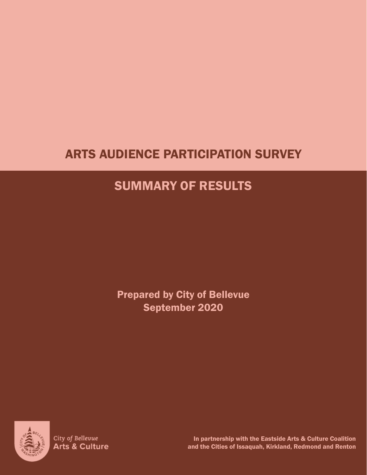# ARTS AUDIENCE PARTICIPATION SURVEY

# SUMMARY OF RESULTS

Prepared by City of Bellevue September 2020



City of Bellevue Arts & Culture

In partnership with the Eastside Arts & Culture Coalition and the Cities of Issaquah, Kirkland, Redmond and Renton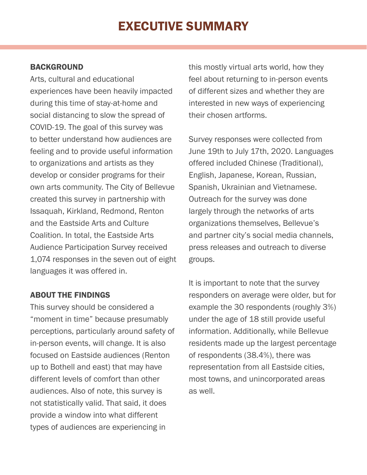# EXECUTIVE SUMMARY

### BACKGROUND

Arts, cultural and educational experiences have been heavily impacted during this time of stay-at-home and social distancing to slow the spread of COVID-19. The goal of this survey was to better understand how audiences are feeling and to provide useful information to organizations and artists as they develop or consider programs for their own arts community. The City of Bellevue created this survey in partnership with Issaquah, Kirkland, Redmond, Renton and the Eastside Arts and Culture Coalition. In total, the Eastside Arts Audience Participation Survey received 1,074 responses in the seven out of eight languages it was offered in.

### ABOUT THE FINDINGS

This survey should be considered a "moment in time" because presumably perceptions, particularly around safety of in-person events, will change. It is also focused on Eastside audiences (Renton up to Bothell and east) that may have different levels of comfort than other audiences. Also of note, this survey is not statistically valid. That said, it does provide a window into what different types of audiences are experiencing in

this mostly virtual arts world, how they feel about returning to in-person events of different sizes and whether they are interested in new ways of experiencing their chosen artforms.

Survey responses were collected from June 19th to July 17th, 2020. Languages offered included Chinese (Traditional), English, Japanese, Korean, Russian, Spanish, Ukrainian and Vietnamese. Outreach for the survey was done largely through the networks of arts organizations themselves, Bellevue's and partner city's social media channels, press releases and outreach to diverse groups.

It is important to note that the survey responders on average were older, but for example the 30 respondents (roughly 3%) under the age of 18 still provide useful information. Additionally, while Bellevue residents made up the largest percentage of respondents (38.4%), there was representation from all Eastside cities, most towns, and unincorporated areas as well.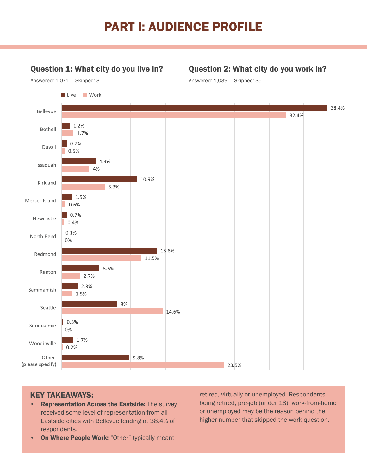# PART I: AUDIENCE PROFILE

## Question 1: What city do you live in?

Answered: 1,071 Skipped: 3

### Question 2: What city do you work in?





### KEY TAKEAWAYS:

**Representation Across the Eastside: The survey** received some level of representation from all Eastside cities with Bellevue leading at 38.4% of respondents.

• On Where People Work: "Other" typically meant

retired, virtually or unemployed. Respondents being retired, pre-job (under 18), work-from-home or unemployed may be the reason behind the higher number that skipped the work question.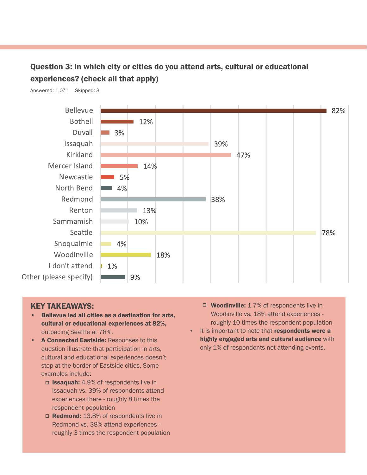# Question 3: In which city or cities do you attend arts, cultural or educational experiences? (check all that apply)

Answered: 1,071 Skipped: 3



- Bellevue led all cities as a destination for arts, cultural or educational experiences at 82%, outpacing Seattle at 78%.
- A Connected Eastside: Responses to this question illustrate that participation in arts, cultural and educational experiences doesn't stop at the border of Eastside cities. Some examples include:
	- □ **Issaquah:** 4.9% of respondents live in Issaquah vs. 39% of respondents attend experiences there - roughly 8 times the respondent population
	- □ Redmond: 13.8% of respondents live in Redmond vs. 38% attend experiences roughly 3 times the respondent population
- □ Woodinville: 1.7% of respondents live in Woodinville vs. 18% attend experiences roughly 10 times the respondent population
- It is important to note that respondents were a highly engaged arts and cultural audience with only 1% of respondents not attending events.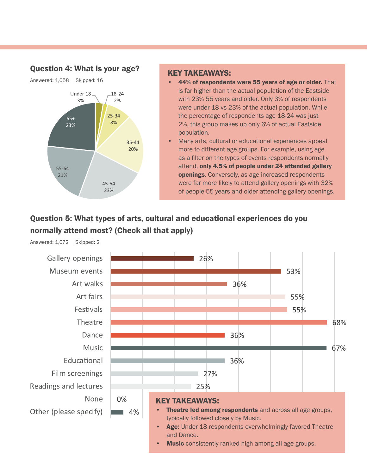### Question 4: What is your age?



## KEY TAKEAWAYS:

- 44% of respondents were 55 years of age or older. That is far higher than the actual population of the Eastside with 23% 55 years and older. Only 3% of respondents were under 18 vs 23% of the actual population. While the percentage of respondents age 18-24 was just 2%, this group makes up only 6% of actual Eastside population.
- Many arts, cultural or educational experiences appeal more to different age groups. For example, using age as a filter on the types of events respondents normally attend, only 4.5% of people under 24 attended gallery openings. Conversely, as age increased respondents were far more likely to attend gallery openings with 32% of people 55 years and older attending gallery openings.

# Question 5: What types of arts, cultural and educational experiences do you normally attend most? (Check all that apply)



Answered: 1,072 Skipped: 2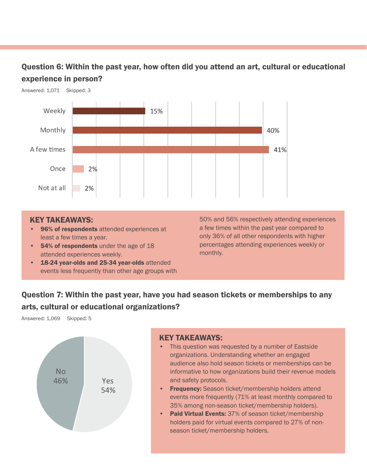## Question 6: Within the past year, how often did you attend an art, cultural or educational experience in person?



#### KEY TAKEAWAYS:

- 96% of respondents attended experiences at least a few times a year.
- 54% of respondents under the age of 18 attended experiences weekly.
- 18-24 year-olds and 25-34 year-olds attended events less frequently than other age groups with

50% and 56% respectively attending experiences a few times within the past year compared to only 36% of all other respondents with higher percentages attending experiences weekly or monthly.

## Question 7: Within the past year, have you had season tickets or memberships to any arts, cultural or educational organizations?

Answered: 1,069 Skipped: 5



- This question was requested by a number of Eastside organizations. Understanding whether an engaged audience also hold season tickets or memberships can be informative to how organizations build their revenue models and safety protocols.
- Frequency: Season ticket/membership holders attend events more frequently (71% at least monthly compared to 35% among non-season ticket/membership holders).
- Paid Virtual Events: 37% of season ticket/membership holders paid for virtual events compared to 27% of nonseason ticket/membership holders.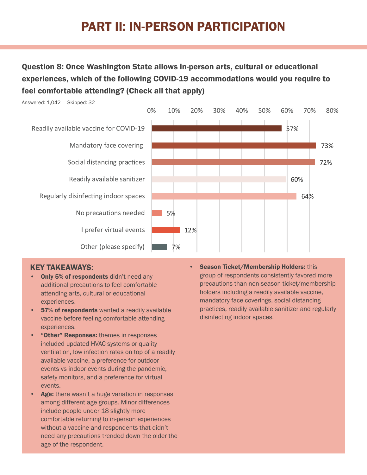# PART II: IN-PERSON PARTICIPATION

# Question 8: Once Washington State allows in-person arts, cultural or educational experiences, which of the following COVID-19 accommodations would you require to feel comfortable attending? (Check all that apply)



### KEY TAKEAWAYS:

- Only 5% of respondents didn't need any additional precautions to feel comfortable attending arts, cultural or educational experiences.
- **57% of respondents** wanted a readily available vaccine before feeling comfortable attending experiences.
- "Other" Responses: themes in responses included updated HVAC systems or quality ventilation, low infection rates on top of a readily available vaccine, a preference for outdoor events vs indoor events during the pandemic, safety monitors, and a preference for virtual events.
- Age: there wasn't a huge variation in responses among different age groups. Minor differences include people under 18 slightly more comfortable returning to in-person experiences without a vaccine and respondents that didn't need any precautions trended down the older the age of the respondent.

**Season Ticket/Membership Holders: this** group of respondents consistently favored more precautions than non-season ticket/membership holders including a readily available vaccine, mandatory face coverings, social distancing practices, readily available sanitizer and regularly disinfecting indoor spaces.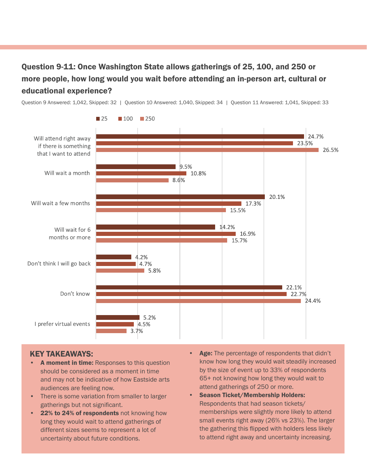# Question 9-11: Once Washington State allows gatherings of 25, 100, and 250 or more people, how long would you wait before attending an in-person art, cultural or educational experience?

Question 9 Answered: 1,042, Skipped: 32 | Question 10 Answered: 1,040, Skipped: 34 | Question 11 Answered: 1,041, Skipped: 33



- A moment in time: Responses to this question should be considered as a moment in time and may not be indicative of how Eastside arts audiences are feeling now.
- There is some variation from smaller to larger gatherings but not significant.
- 22% to 24% of respondents not knowing how long they would wait to attend gatherings of different sizes seems to represent a lot of uncertainty about future conditions.
- Age: The percentage of respondents that didn't know how long they would wait steadily increased by the size of event up to 33% of respondents 65+ not knowing how long they would wait to attend gatherings of 250 or more.
- Season Ticket/Membership Holders: Respondents that had season tickets/ memberships were slightly more likely to attend small events right away (26% vs 23%). The larger the gathering this flipped with holders less likely to attend right away and uncertainty increasing.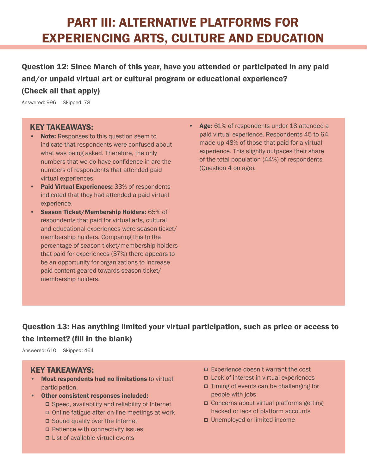# PART III: ALTERNATIVE PLATFORMS FOR EXPERIENCING ARTS, CULTURE AND EDUCATION

Question 12: Since March of this year, have you attended or participated in any paid and/or unpaid virtual art or cultural program or educational experience?

### (Check all that apply)

Answered: 996 Skipped: 78

#### KEY TAKEAWAYS:

- Note: Responses to this question seem to indicate that respondents were confused about what was being asked. Therefore, the only numbers that we do have confidence in are the numbers of respondents that attended paid virtual experiences.
- Paid Virtual Experiences: 33% of respondents indicated that they had attended a paid virtual experience.
- Season Ticket/Membership Holders: 65% of respondents that paid for virtual arts, cultural and educational experiences were season ticket/ membership holders. Comparing this to the percentage of season ticket/membership holders that paid for experiences (37%) there appears to be an opportunity for organizations to increase paid content geared towards season ticket/ membership holders.
- Age: 61% of respondents under 18 attended a paid virtual experience. Respondents 45 to 64 made up 48% of those that paid for a virtual experience. This slightly outpaces their share of the total population (44%) of respondents (Question 4 on age).

# Question 13: Has anything limited your virtual participation, such as price or access to the Internet? (fill in the blank)

Answered: 610 Skipped: 464

- Most respondents had no limitations to virtual participation.
- Other consistent responses included:  $\Box$  Speed, availability and reliability of Internet
	- Online fatigue after on-line meetings at work
	- Sound quality over the Internet
	- Patience with connectivity issues
	- List of available virtual events
- Experience doesn't warrant the cost
- Lack of interest in virtual experiences
- Timing of events can be challenging for people with jobs
- Concerns about virtual platforms getting hacked or lack of platform accounts
- Unemployed or limited income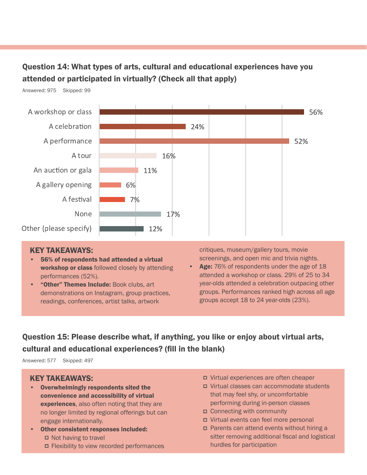# Question 14: What types of arts, cultural and educational experiences have you attended or participated in virtually? (Check all that apply)

Answered: 975 Skipped: 99



#### KEY TAKEAWAYS:

- 56% of respondents had attended a virtual workshop or class followed closely by attending performances (52%).
- "Other" Themes Include: Book clubs, art demonstrations on Instagram, group practices, readings, conferences, artist talks, artwork

critiques, museum/gallery tours, movie screenings, and open mic and trivia nights.

Age: 76% of respondents under the age of 18 attended a workshop or class. 29% of 25 to 34 year-olds attended a celebration outpacing other groups. Performances ranked high across all age groups accept 18 to 24 year-olds (23%).

# Question 15: Please describe what, if anything, you like or enjoy about virtual arts, cultural and educational experiences? (fill in the blank)

Answered: 577 Skipped: 497

- Overwhelmingly respondents sited the convenience and accessibility of virtual experiences, also often noting that they are no longer limited by regional offerings but can engage internationally.
- Other consistent responses included: □ Not having to travel
	- Flexibility to view recorded performances
- Virtual experiences are often cheaper
- Virtual classes can accommodate students that may feel shy, or uncomfortable performing during in-person classes
- Connecting with community
- Virtual events can feel more personal
- Parents can attend events without hiring a sitter removing additional fiscal and logistical hurdles for participation